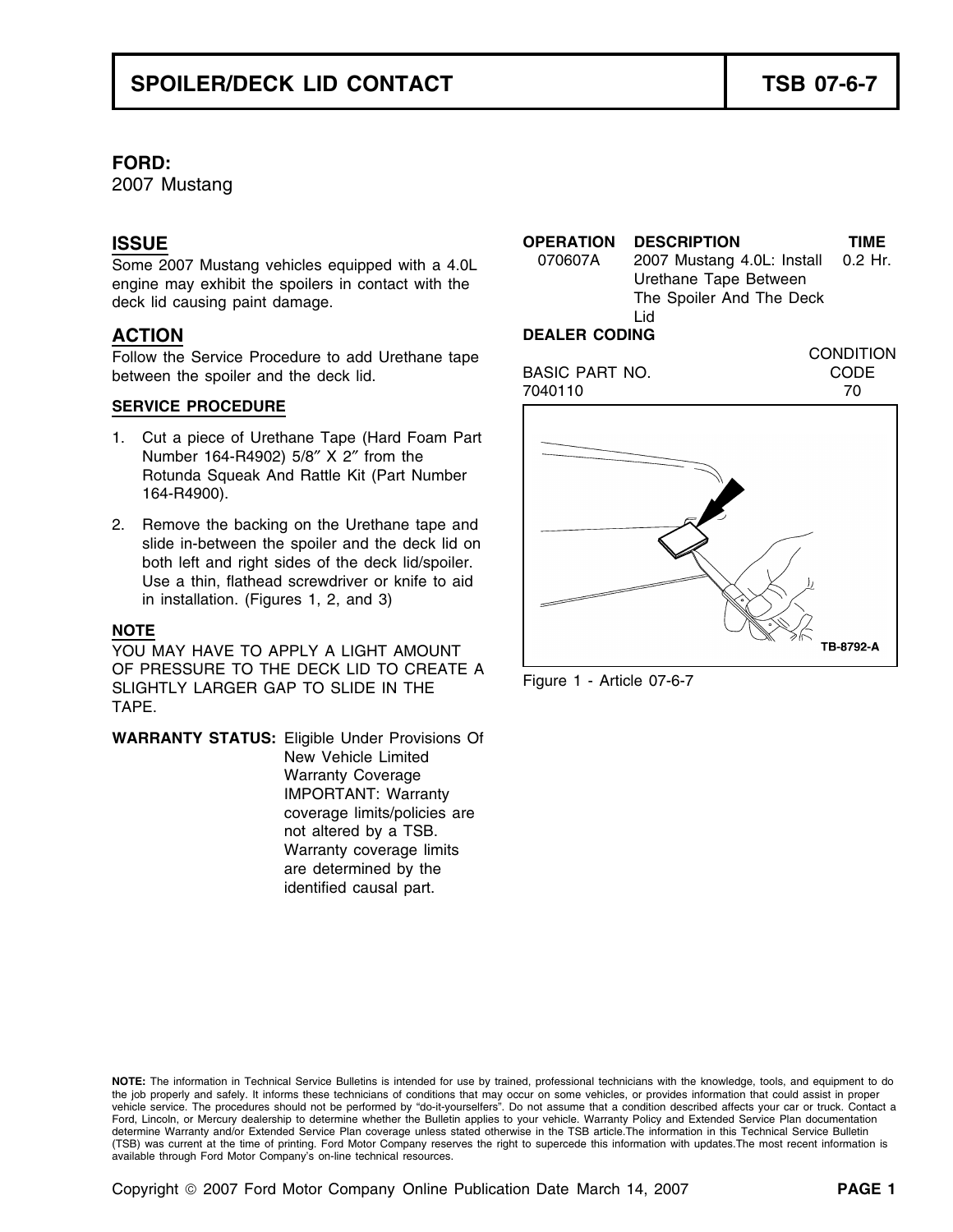## **FORD:**

2007 Mustang

### **SERVICE PROCEDURE**

- 1. Cut a piece of Urethane Tape (Hard Foam Part Number 164-R4902) 5/8″ X 2″ from the Rotunda Squeak And Rattle Kit (Part Number 164-R4900).
- 2. Remove the backing on the Urethane tape and slide in-between the spoiler and the deck lid on both left and right sides of the deck lid/spoiler. Use a thin, flathead screwdriver or knife to aid in installation. (Figures 1, 2, and 3)

### **NOTE**

YOU MAY HAVE TO APPLY A LIGHT AMOUNT OF PRESSURE TO THE DECK LID TO CREATE A Figure 1 - Article 07-6-7<br>SLIGHTLY LARGER GAP TO SLIDE IN THE Figure 1 - Article 07-6-7 TAPE.

**WARRANTY STATUS:** Eligible Under Provisions Of New Vehicle Limited Warranty Coverage IMPORTANT: Warranty coverage limits/policies are not altered by a TSB. Warranty coverage limits are determined by the identified causal part.



**NOTE:** The information in Technical Service Bulletins is intended for use by trained, professional technicians with the knowledge, tools, and equipment to do the job properly and safely. It informs these technicians of conditions that may occur on some vehicles, or provides information that could assist in proper vehicle service. The procedures should not be performed by "do-it-yourselfers". Do not assume that a condition described affects your car or truck. Contact a Ford, Lincoln, or Mercury dealership to determine whether the Bulletin applies to your vehicle. Warranty Policy and Extended Service Plan documentation determine Warranty and/or Extended Service Plan coverage unless stated otherwise in the TSB article.The information in this Technical Service Bulletin (TSB) was current at the time of printing. Ford Motor Company reserves the right to supercede this information with updates.The most recent information is available through Ford Motor Company's on-line technical resources.